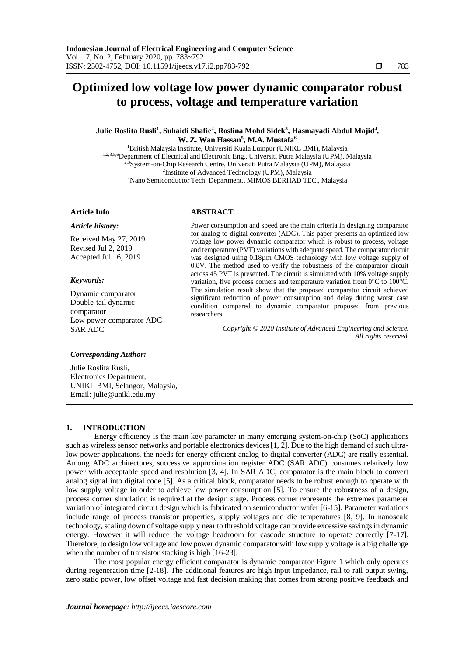# **Optimized low voltage low power dynamic comparator robust to process, voltage and temperature variation**

# **Julie Roslita Rusli<sup>1</sup> , Suhaidi Shafie<sup>2</sup> , Roslina Mohd Sidek<sup>3</sup> , Hasmayadi Abdul Majid<sup>4</sup> , W. Z. Wan Hassan<sup>5</sup> , M.A. Mustafa<sup>6</sup>**

<sup>1</sup>British Malaysia Institute, Universiti Kuala Lumpur (UNIKL BMI), Malaysia 1,2,3,5,6Department of Electrical and Electronic Eng., Universiti Putra Malaysia (UPM), Malaysia <sup>2,3</sup>System-on-Chip Research Centre, Universiti Putra Malaysia (UPM), Malaysia <sup>2</sup>Institute of Advanced Technology (UPM), Malaysia <sup>4</sup>Nano Semiconductor Tech. Department., MIMOS BERHAD TEC., Malaysia

#### *Article history:*

Received May 27, 2019 Revised Jul 2, 2019 Accepted Jul 16, 2019

# *Keywords:*

Dynamic comparator Double-tail dynamic comparator Low power comparator ADC

# **Article Info ABSTRACT**

Power consumption and speed are the main criteria in designing comparator for analog-to-digital converter (ADC). This paper presents an optimized low voltage low power dynamic comparator which is robust to process, voltage and temperature (PVT) variations with adequate speed. The comparator circuit was designed using 0.18µm CMOS technology with low voltage supply of 0.8V. The method used to verify the robustness of the comparator circuit across 45 PVT is presented. The circuit is simulated with 10% voltage supply variation, five process corners and temperature variation from 0°C to 100°C. The simulation result show that the proposed comparator circuit achieved significant reduction of power consumption and delay during worst case condition compared to dynamic comparator proposed from previous researchers.

SAR ADC *Copyright © 2020 Institute of Advanced Engineering and Science. All rights reserved.*

### *Corresponding Author:*

Julie Roslita Rusli, Electronics Department, UNIKL BMI, Selangor, Malaysia, Email: julie@unikl.edu.my

# **1. INTRODUCTION**

Energy efficiency is the main key parameter in many emerging system-on-chip (SoC) applications such as wireless sensor networks and portable electronics devices [1, 2]. Due to the high demand of such ultralow power applications, the needs for energy efficient analog-to-digital converter (ADC) are really essential. Among ADC architectures, successive approximation register ADC (SAR ADC) consumes relatively low power with acceptable speed and resolution [3, 4]. In SAR ADC, comparator is the main block to convert analog signal into digital code [5]. As a critical block, comparator needs to be robust enough to operate with low supply voltage in order to achieve low power consumption [5]. To ensure the robustness of a design, process corner simulation is required at the design stage. Process corner represents the extremes parameter variation of integrated circuit design which is fabricated on semiconductor wafer [6-15]. Parameter variations include range of process transistor properties, supply voltages and die temperatures [8, 9]. In nanoscale technology, scaling down of voltage supply near to threshold voltage can provide excessive savings in dynamic energy. However it will reduce the voltage headroom for cascode structure to operate correctly [7-17]. Therefore, to design low voltage and low power dynamic comparator with low supply voltage is a big challenge when the number of transistor stacking is high [16-23].

The most popular energy efficient comparator is dynamic comparator Figure 1 which only operates during regeneration time [2-18]. The additional features are high input impedance, rail to rail output swing, zero static power, low offset voltage and fast decision making that comes from strong positive feedback and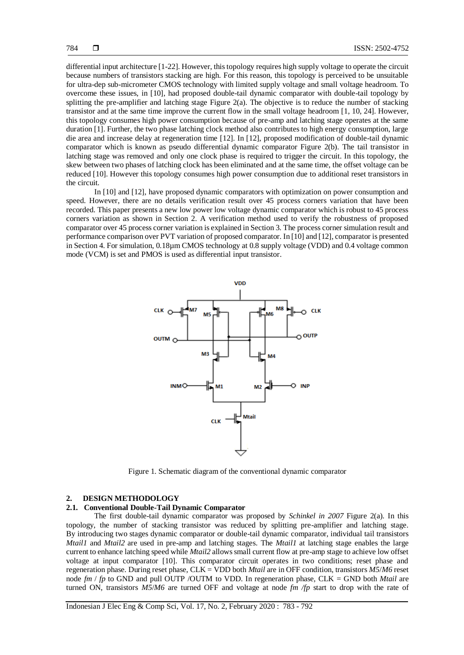differential input architecture [1-22]. However, this topology requires high supply voltage to operate the circuit because numbers of transistors stacking are high. For this reason, this topology is perceived to be unsuitable for ultra-dep sub-micrometer CMOS technology with limited supply voltage and small voltage headroom. To overcome these issues, in [10], had proposed double-tail dynamic comparator with double-tail topology by splitting the pre-amplifier and latching stage Figure 2(a). The objective is to reduce the number of stacking transistor and at the same time improve the current flow in the small voltage headroom [1, 10, 24]. However, this topology consumes high power consumption because of pre-amp and latching stage operates at the same duration [1]. Further, the two phase latching clock method also contributes to high energy consumption, large die area and increase delay at regeneration time [12]. In [12], proposed modification of double-tail dynamic comparator which is known as pseudo differential dynamic comparator Figure 2(b). The tail transistor in latching stage was removed and only one clock phase is required to trigger the circuit. In this topology, the skew between two phases of latching clock has been eliminated and at the same time, the offset voltage can be reduced [10]. However this topology consumes high power consumption due to additional reset transistors in the circuit.

In [10] and [12], have proposed dynamic comparators with optimization on power consumption and speed. However, there are no details verification result over 45 process corners variation that have been recorded. This paper presents a new low power low voltage dynamic comparator which is robust to 45 process corners variation as shown in Section 2. A verification method used to verify the robustness of proposed comparator over 45 process corner variation is explained in Section 3. The process corner simulation result and performance comparison over PVT variation of proposed comparator. In [10] and [12], comparator is presented in Section 4. For simulation, 0.18µm CMOS technology at 0.8 supply voltage (VDD) and 0.4 voltage common mode (VCM) is set and PMOS is used as differential input transistor.



Figure 1. Schematic diagram of the conventional dynamic comparator

## **2. DESIGN METHODOLOGY**

#### **2.1. Conventional Double-Tail Dynamic Comparator**

The first double-tail dynamic comparator was proposed by *Schinkel in 2007* Figure 2(a)*.* In this topology, the number of stacking transistor was reduced by splitting pre-amplifier and latching stage. By introducing two stages dynamic comparator or double-tail dynamic comparator, individual tail transistors *Mtail1* and *Mtail2* are used in pre-amp and latching stages. The *Mtail1* at latching stage enables the large current to enhance latching speed while *Mtail2* allows small current flow at pre-amp stage to achieve low offset voltage at input comparator [10]. This comparator circuit operates in two conditions; reset phase and regeneration phase. During reset phase, CLK = VDD both *Mtail* are in OFF condition, transistors *M5*/*M6* reset node *fm* / *fp* to GND and pull OUTP /OUTM to VDD. In regeneration phase, CLK = GND both *Mtail* are turned ON, transistors *M5*/*M6* are turned OFF and voltage at node *fm /fp* start to drop with the rate of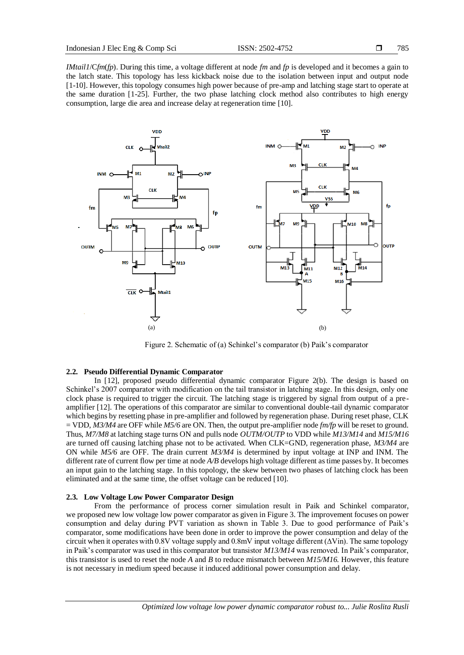785

*IMtail1*/C*fm*(*fp*). During this time, a voltage different at node *fm* and *fp* is developed and it becomes a gain to the latch state. This topology has less kickback noise due to the isolation between input and output node [1-10]. However, this topology consumes high power because of pre-amp and latching stage start to operate at the same duration [1-25]. Further, the two phase latching clock method also contributes to high energy consumption, large die area and increase delay at regeneration time [10].



Figure 2. Schematic of (a) Schinkel's comparator (b) Paik's comparator

# **2.2. Pseudo Differential Dynamic Comparator**

In [12], proposed pseudo differential dynamic comparator Figure 2(b). The design is based on Schinkel's 2007 comparator with modification on the tail transistor in latching stage. In this design, only one clock phase is required to trigger the circuit. The latching stage is triggered by signal from output of a preamplifier [12]. The operations of this comparator are similar to conventional double-tail dynamic comparator which begins by resetting phase in pre-amplifier and followed by regeneration phase. During reset phase, CLK = VDD, *M3/M4* are OFF while *M5/6* are ON. Then, the output pre-amplifier node *fm/fp* will be reset to ground. Thus, *M7/M8* at latching stage turns ON and pulls node *OUTM/OUTP* to VDD while *M13/M14* and *M15/M16* are turned off causing latching phase not to be activated. When CLK=GND, regeneration phase, *M3/M4* are ON while *M5/6* are OFF. The drain current *M3/M4* is determined by input voltage at INP and INM. The different rate of current flow per time at node *A/B* develops high voltage different as time passes by. It becomes an input gain to the latching stage. In this topology, the skew between two phases of latching clock has been eliminated and at the same time, the offset voltage can be reduced [10].

#### **2.3. Low Voltage Low Power Comparator Design**

From the performance of process corner simulation result in Paik and Schinkel comparator, we proposed new low voltage low power comparator as given in Figure 3. The improvement focuses on power consumption and delay during PVT variation as shown in Table 3. Due to good performance of Paik's comparator, some modifications have been done in order to improve the power consumption and delay of the circuit when it operates with 0.8V voltage supply and 0.8mV input voltage different (∆Vin). The same topology in Paik's comparator was used in this comparator but transistor *M13/M14* was removed. In Paik's comparator, this transistor is used to reset the node *A* and *B* to reduce mismatch between *M15/M16.* However, this feature is not necessary in medium speed because it induced additional power consumption and delay.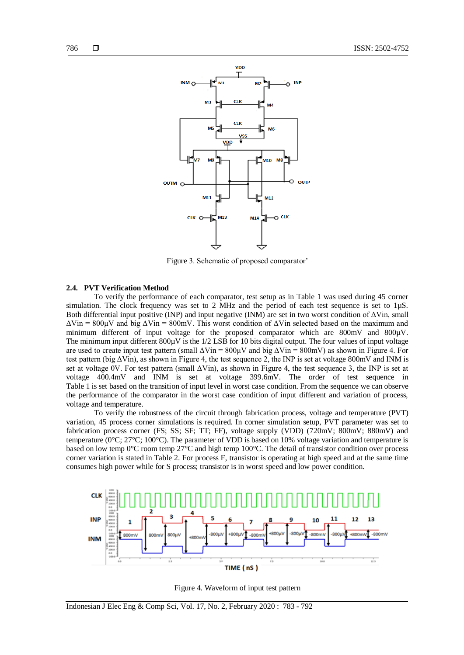

Figure 3. Schematic of proposed comparator'

# **2.4. PVT Verification Method**

To verify the performance of each comparator, test setup as in Table 1 was used during 45 corner simulation. The clock frequency was set to 2 MHz and the period of each test sequence is set to 1µS. Both differential input positive (INP) and input negative (INM) are set in two worst condition of  $\Delta$ Vin, small  $\Delta$ Vin = 800 $\mu$ V and big  $\Delta$ Vin = 800mV. This worst condition of  $\Delta$ Vin selected based on the maximum and minimum different of input voltage for the proposed comparator which are 800mV and 800µV. The minimum input different  $800\mu$ V is the 1/2 LSB for 10 bits digital output. The four values of input voltage are used to create input test pattern (small  $\Delta \text{V}$ in = 800µV and big  $\Delta \text{V}$ in = 800mV) as shown in Figure 4. For test pattern (big ΔVin), as shown in Figure 4, the test sequence 2, the INP is set at voltage 800mV and INM is set at voltage 0V. For test pattern (small  $\Delta$ Vin), as shown in Figure 4, the test sequence 3, the INP is set at voltage 400.4mV and INM is set at voltage 399.6mV. The order of test sequence in Table 1 is set based on the transition of input level in worst case condition. From the sequence we can observe the performance of the comparator in the worst case condition of input different and variation of process, voltage and temperature.

To verify the robustness of the circuit through fabrication process, voltage and temperature (PVT) variation, 45 process corner simulations is required. In corner simulation setup, PVT parameter was set to fabrication process corner (FS; SS; SF; TT; FF), voltage supply (VDD) (720mV; 800mV; 880mV) and temperature (0°C; 27°C; 100°C). The parameter of VDD is based on 10% voltage variation and temperature is based on low temp 0°C room temp 27°C and high temp 100°C. The detail of transistor condition over process corner variation is stated in Table 2. For process F, transistor is operating at high speed and at the same time consumes high power while for S process; transistor is in worst speed and low power condition.



Figure 4. Waveform of input test pattern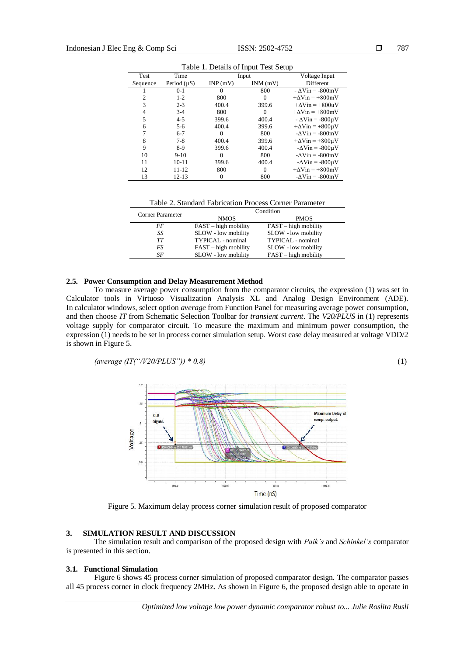| raone 1. Betans of Input Test betup |                  |          |          |                                             |  |  |  |
|-------------------------------------|------------------|----------|----------|---------------------------------------------|--|--|--|
| Test                                | Time             | Input    |          | Voltage Input                               |  |  |  |
| Sequence                            | Period $(\mu S)$ | INP(mV)  | INM(mV)  | <b>Different</b>                            |  |  |  |
|                                     | $0-1$            | $\Omega$ | 800      | $-\Delta \text{V}$ in = -800mV              |  |  |  |
|                                     | $1-2$            | 800      | 0        | $+\Delta \text{V}$ in = $+800$ mV           |  |  |  |
| 3                                   | $2 - 3$          | 400.4    | 399.6    | $+\Delta \text{V}$ in = $+800$ uV           |  |  |  |
| 4                                   | $3-4$            | 800      | $\theta$ | $+\Delta \text{V}$ in = $+800$ mV           |  |  |  |
| 5                                   | $4 - 5$          | 399.6    | 400.4    | $-\Delta \text{V}$ in = -800µV              |  |  |  |
| 6                                   | $5-6$            | 400.4    | 399.6    | $+\Delta \text{V}$ in = $+800 \mu \text{V}$ |  |  |  |
|                                     | $6 - 7$          | $\Omega$ | 800      | $-\Delta \text{V}$ in = $-800$ mV           |  |  |  |
| 8                                   | $7 - 8$          | 400.4    | 399.6    | $+\Delta \text{V}$ in = $+800 \mu \text{V}$ |  |  |  |
| 9                                   | $8-9$            | 399.6    | 400.4    | $-\Delta \text{V}$ in = $-800 \mu \text{V}$ |  |  |  |
| 10                                  | $9-10$           | $\Omega$ | 800      | $-\Delta \text{V}$ in = $-800$ mV           |  |  |  |
| 11                                  | $10-11$          | 399.6    | 400.4    | $-\Delta \text{V}$ in = $-800 \mu \text{V}$ |  |  |  |
| 12                                  | 11-12            | 800      | 0        | $+\Delta \text{V}$ in = $+800$ mV           |  |  |  |
| 13                                  | 12-13            | $\theta$ | 800      | $-\Delta \text{V}$ in = $-800$ mV           |  |  |  |

Table 1. Details of Input Test Setup

Table 2. Standard Fabrication Process Corner Parameter

| Corner Parameter | Condition              |                        |  |  |
|------------------|------------------------|------------------------|--|--|
|                  | <b>NMOS</b>            | <b>PMOS</b>            |  |  |
| FF               | $FAST - high mobility$ | $FAST - high mobility$ |  |  |
| SS               | SLOW - low mobility    | SLOW - low mobility    |  |  |
| TТ               | TYPICAL - nominal      | TYPICAL - nominal      |  |  |
| FS               | $FAST - high mobility$ | SLOW - low mobility    |  |  |
| SF               | SLOW - low mobility    | $FAST - high mobility$ |  |  |

#### **2.5. Power Consumption and Delay Measurement Method**

To measure average power consumption from the comparator circuits, the expression (1) was set in Calculator tools in Virtuoso Visualization Analysis XL and Analog Design Environment (ADE). In calculator windows, select option *average* from Function Panel for measuring average power consumption, and then choose *IT* from Schematic Selection Toolbar for *transient current*. The *V20/PLUS* in (1) represents voltage supply for comparator circuit. To measure the maximum and minimum power consumption, the expression (1) needs to be set in process corner simulation setup. Worst case delay measured at voltage VDD/2 is shown in Figure 5.

*(average (IT("/V20/PLUS")) \* 0.8)* (1)

 $\overline{z}$ Maximum Delay of  $CLK$ comp. output. Signal **Joltage**  $0.0$  $501.0$  $500.0$  $500.5$  $501.5$ Time (nS)

Figure 5. Maximum delay process corner simulation result of proposed comparator

# **3. SIMULATION RESULT AND DISCUSSION**

The simulation result and comparison of the proposed design with *Paik's* and *Schinkel's* comparator is presented in this section.

#### **3.1. Functional Simulation**

Figure 6 shows 45 process corner simulation of proposed comparator design. The comparator passes all 45 process corner in clock frequency 2MHz. As shown in Figure 6, the proposed design able to operate in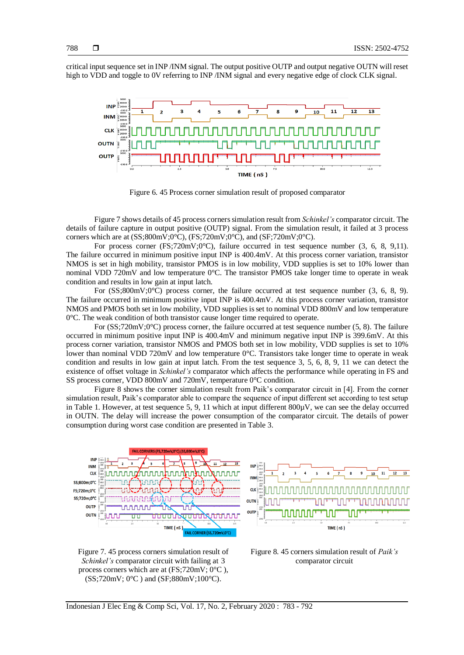critical input sequence set in INP /INM signal. The output positive OUTP and output negative OUTN will reset high to VDD and toggle to 0V referring to INP /INM signal and every negative edge of clock CLK signal.



Figure 6. 45 Process corner simulation result of proposed comparator

Figure 7 shows details of 45 process corners simulation result from *Schinkel's* comparator circuit. The details of failure capture in output positive (OUTP) signal. From the simulation result, it failed at 3 process corners which are at  $(SS;800m\overline{V};0^{\circ}\overline{C})$ ,  $(FS;720m\overline{V};0^{\circ}\overline{C})$ , and  $(SF;720m\overline{V};0^{\circ}\overline{C})$ .

For process corner  $(FS;720mV;0°C)$ , failure occurred in test sequence number (3, 6, 8, 9,11). The failure occurred in minimum positive input INP is 400.4mV. At this process corner variation, transistor NMOS is set in high mobility, transistor PMOS is in low mobility, VDD supplies is set to 10% lower than nominal VDD 720mV and low temperature 0°C. The transistor PMOS take longer time to operate in weak condition and results in low gain at input latch.

For (SS;800mV;0<sup>o</sup>C) process corner, the failure occurred at test sequence number (3, 6, 8, 9). The failure occurred in minimum positive input INP is 400.4mV. At this process corner variation, transistor NMOS and PMOS both set in low mobility, VDD supplies is set to nominal VDD 800mV and low temperature 0°C. The weak condition of both transistor cause longer time required to operate.

For  $(SS;720mV;0°C)$  process corner, the failure occurred at test sequence number (5, 8). The failure occurred in minimum positive input INP is 400.4mV and minimum negative input INP is 399.6mV. At this process corner variation, transistor NMOS and PMOS both set in low mobility, VDD supplies is set to 10% lower than nominal VDD 720mV and low temperature 0°C. Transistors take longer time to operate in weak condition and results in low gain at input latch. From the test sequence 3, 5, 6, 8, 9, 11 we can detect the existence of offset voltage in *Schinkel's* comparator which affects the performance while operating in FS and SS process corner, VDD 800mV and 720mV, temperature 0°C condition.

Figure 8 shows the corner simulation result from Paik's comparator circuit in [4]. From the corner simulation result, Paik's comparator able to compare the sequence of input different set according to test setup in Table 1. However, at test sequence 5, 9, 11 which at input different  $800\mu$ V, we can see the delay occurred in OUTN. The delay will increase the power consumption of the comparator circuit. The details of power consumption during worst case condition are presented in Table 3.



Figure 7. 45 process corners simulation result of *Schinkel's* comparator circuit with failing at 3 process corners which are at  $(FS:720mV:0°C)$ . (SS;720mV; 0°C ) and (SF;880mV;100°C).



Figure 8. 45 corners simulation result of *Paik's* comparator circuit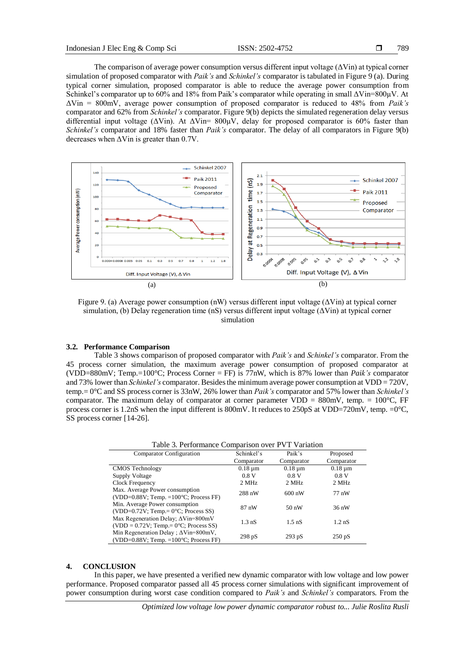The comparison of average power consumption versus different input voltage  $(\Delta V\text{in})$  at typical corner simulation of proposed comparator with *Paik's* and *Schinkel's* comparator is tabulated in Figure 9 (a). During typical corner simulation, proposed comparator is able to reduce the average power consumption from Schinkel's comparator up to 60% and 18% from Paik's comparator while operating in small ΔVin=800µV. At ΔVin = 800mV, average power consumption of proposed comparator is reduced to 48% from *Paik's* comparator and 62% from *Schinkel's* comparator. Figure 9(b) depicts the simulated regeneration delay versus differential input voltage ( $\Delta$ Vin). At  $\Delta$ Vin= 800 $\mu$ V, delay for proposed comparator is 60% faster than *Schinkel's* comparator and 18% faster than *Paik's* comparator. The delay of all comparators in Figure 9(b) decreases when ΔVin is greater than 0.7V.



Figure 9. (a) Average power consumption (nW) versus different input voltage (ΔVin) at typical corner simulation, (b) Delay regeneration time (nS) versus different input voltage  $(\Delta \text{Vir})$  at typical corner simulation

#### **3.2. Performance Comparison**

Table 3 shows comparison of proposed comparator with *Paik's* and *Schinkel's* comparator. From the 45 process corner simulation, the maximum average power consumption of proposed comparator at (VDD=880mV; Temp.=100°C; Process Corner = FF) is 77nW, which is 87% lower than *Paik's* comparator and 73% lower than *Schinkel's* comparator. Besides the minimum average power consumption at VDD = 720V, temp.= 0°C and SS process corner is 33nW, 26% lower than *Paik's* comparator and 57% lower than *Schinkel's* comparator. The maximum delay of comparator at corner parameter VDD =  $880 \text{mV}$ , temp. =  $100^{\circ}$ C, FF process corner is 1.2nS when the input different is 800mV. It reduces to 250pS at VDD=720mV, temp. =0°C, SS process corner [14-26].

| Table 3. Performance Comparison over PVT Variation                                                      |                  |                  |                  |  |  |  |
|---------------------------------------------------------------------------------------------------------|------------------|------------------|------------------|--|--|--|
| <b>Comparator Configuration</b>                                                                         | Schinkel's       | Paik's           | Proposed         |  |  |  |
|                                                                                                         | Comparator       | Comparator       | Comparator       |  |  |  |
| <b>CMOS Technology</b>                                                                                  | $0.18 \mu m$     | $0.18 \mu m$     | $0.18 \mu m$     |  |  |  |
| Supply Voltage                                                                                          | 0.8V             | 0.8V             | 0.8V             |  |  |  |
| Clock Frequency                                                                                         | 2 MHz            | 2 MHz            | 2 MHz            |  |  |  |
| Max. Average Power consumption<br>$(VDD=0.88V; Temp. = 100°C; Process FF)$                              | 288 nW           | $600 \text{ nW}$ | 77 nW            |  |  |  |
| Min. Average Power consumption<br>(VDD= $0.72V$ ; Temp.= $0^{\circ}$ C; Process SS)                     | $87 \text{ nW}$  | $50 \text{ nW}$  | $36 \text{ nW}$  |  |  |  |
| Max Regeneration Delay; $\Delta \text{Vir}=800 \text{mV}$<br>$(VDD = 0.72V; Temp = 0°C; Process SS)$    | $1.3 \text{ nS}$ | $1.5 \text{ nS}$ | $1.2 \text{ nS}$ |  |  |  |
| Min Regeneration Delay; $\Delta \text{Vir}=800 \text{mV}$ ,<br>$(VDD=0.88V; Temp. = 100°C; Process FF)$ | 298pS            | $293$ pS         | $250 \text{ pS}$ |  |  |  |

# **4. CONCLUSION**

In this paper, we have presented a verified new dynamic comparator with low voltage and low power performance. Proposed comparator passed all 45 process corner simulations with significant improvement of power consumption during worst case condition compared to *Paik's* and *Schinkel's* comparators. From the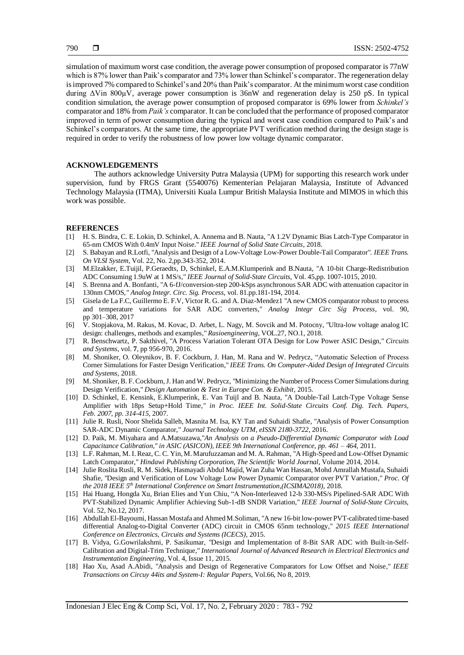simulation of maximum worst case condition, the average power consumption of proposed comparator is 77nW which is 87% lower than Paik's comparator and 73% lower than Schinkel's comparator. The regeneration delay is improved 7% compared to Schinkel's and 20% than Paik's comparator. At the minimum worst case condition during ΔVin 800µV, average power consumption is 36nW and regeneration delay is 250 pS. In typical condition simulation, the average power consumption of proposed comparator is 69% lower from *Schinkel's* comparator and 18% from *Paik's* comparator. It can be concluded that the performance of proposed comparator improved in term of power consumption during the typical and worst case condition compared to Paik's and Schinkel's comparators. At the same time, the appropriate PVT verification method during the design stage is required in order to verify the robustness of low power low voltage dynamic comparator.

#### **ACKNOWLEDGEMENTS**

The authors acknowledge University Putra Malaysia (UPM) for supporting this research work under supervision, fund by FRGS Grant (5540076) Kementerian Pelajaran Malaysia, Institute of Advanced Technology Malaysia (ITMA), Universiti Kuala Lumpur British Malaysia Institute and MIMOS in which this work was possible.

#### **REFERENCES**

- [1] H. S. Bindra, C. E. Lokin, D. Schinkel, A. Annema and B. Nauta, "A 1.2V Dynamic Bias Latch-Type Comparator in 65-nm CMOS With 0.4mV Input Noise." *IEEE Journal of Solid State Circuits,* 2018.
- [2] S. Babayan and R.Lotfi, "Analysis and Design of a Low-Voltage Low-Power Double-Tail Comparator"*. IEEE Trans. On VLSI System,* Vol. 22, No. 2,pp.343-352*,* 2014.
- [3] M.Elzakker, E.Tuijil, P.Geraedts, D, Schinkel, E.A.M.Klumperink and B.Nauta, "A 10-bit Charge-Redistribution ADC Consuming 1.9uW at 1 MS/s," *IEEE Journal of Solid-State Circuits,* Vol. 45,pp. 1007-1015, 2010.
- [4] S. Brenna and A. Bonfanti, "A 6-fJ/conversion-step 200-kSps asynchronous SAR ADC with attenuation capacitor in 130nm CMOS*," Analog Integr. Circ. Sig. Process,* vol. 81.pp.181-194, 2014.
- [5] Gisela de La F.C, Guillermo E. F.V, Victor R. G. and A. Diaz-Mendez1 "A new CMOS comparator robust to process and temperature variations for SAR ADC converters," *Analog Integr Circ Sig Process*, vol. 90, pp 301–308, 2017
- [6] V. Stopjakova, M. Rakus, M. Kovac, D. Arbet, L. Nagy, M. Sovcik and M. Potocny, "Ultra-low voltage analog IC design: challenges, methods and examples," *Rasioengineering*, VOL.27, NO.1, 2018.
- [7] R. Benschwartz*,* P. Sakthivel, "A Process Variation Tolerant OTA Design for Low Power ASIC Design," *Circuits and Systems*, vol. **7**, pp 956-970, 2016.
- [8] M. Shoniker, O. Oleynikov, B. F. Cockburn, J. Han, M. Rana and W. Pedrycz, "Automatic Selection of Process Corner Simulations for Faster Design Verification," *IEEE Trans. On Computer-Aided Design of Integrated Circuits and Systems,* 2018.
- [9] M. Shoniker, B. F. Cockburn, J. Han and W. Pedrycz, "Minimizing the Number of Process Corner Simulations during Design Verification," *Design Automation & Test in Europe Con. & Exhibit,* 2015.
- [10] D. Schinkel, E. Kensink, E.Klumperink, E. Van Tuijl and B. Nauta, "A Double-Tail Latch-Type Voltage Sense Amplifier with 18ps Setup+Hold Time,*" in Proc. IEEE Int. Solid-State Circuits Conf. Dig. Tech. Papers, Feb. 2007, pp. 314-415,* 2007.
- [11] Julie R. Rusli, Noor Shelida Salleh, Masnita M. Isa, KY Tan and Suhaidi Shafie, "Analysis of Power Consumption SAR-ADC Dynamic Comparator," *Journal Technology UTM, eISSN 2180-3722*, 2016.
- [12] D. Paik, M. Miyahara and A.Matsuzawa,"*An Analysis on a Pseudo-Differential Dynamic Comparator with Load Capacitance Calibration*," *in ASIC (ASICON), IEEE 9th International Conference, pp. 461 – 464,* 2011.
- [13] L.F. Rahman, M. I. Reaz, C. C. Yin, M. Marufuzzaman and M. A. Rahman, "A High-Speed and Low-Offset Dynamic Latch Comparator," *Hindawi Publishing Corporation, The Scientific World Journal,* Volume 2014*,* 2014.
- [14] Julie Roslita Rusli, R. M. Sidek, Hasmayadi Abdul Majid, Wan Zuha Wan Hassan, Mohd Amrallah Mustafa, Suhaidi Shafie, "Design and Verification of Low Voltage Low Power Dynamic Comparator over PVT Variation," *Proc. Of the 2018 IEEE 5th International Conference on Smart Instrumentation,(ICSIMA2018),* 2018.
- [15] Hai Huang, Hongda Xu, Brian Elies and Yun Chiu, "A Non-Interleaved 12-b 330-MS/s Pipelined-SAR ADC With PVT-Stabilized Dynamic Amplifier Achieving Sub-1-dB SNDR Variation," *IEEE Journal of Solid-State Circuits,*  Vol. 52, No.12*,* 2017.
- [16] Abdullah El-Bayoumi, Hassan Mostafa and Ahmed M.Soliman, "A new 16-bit low-power PVT-calibrated time-based differential Analog-to-Digital Converter (ADC) circuit in CMOS 65nm technology," *2015 IEEE International Conference on Electronics, Circuits and Systems (ICECS),* 2015.
- [17] B. Vidya, G.Gowrilakshmi, P. Sasikumar, "Design and Implementation of 8-Bit SAR ADC with Built-in-Self-Calibration and Digital-Trim Technique," *International Journal of Advanced Research in Electrical Electronics and Instrumentation Engineering,* Vol. 4, Issue 11*,* 2015.
- [18] Hao Xu, Asad A.Abidi, "Analysis and Design of Regenerative Comparators for Low Offset and Noise," *IEEE Transactions on Circuy 44its and System-I: Regular Papers,* Vol.66, No 8*,* 2019.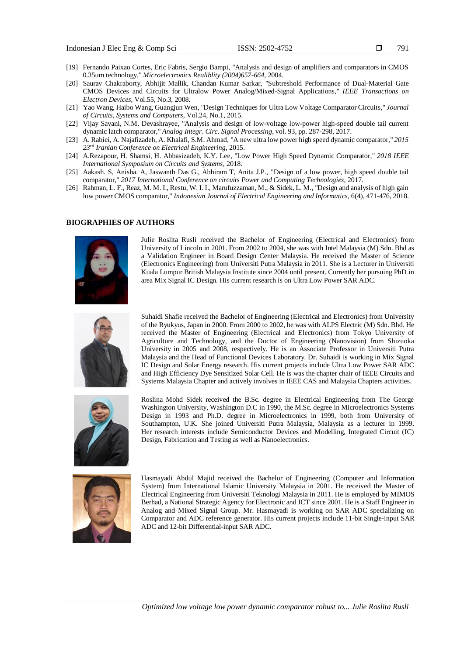- [19] Fernando Paixao Cortes, Eric Fabris, Sergio Bampi, "Analysis and design of amplifiers and comparators in CMOS 0.35um technology," *Microelectronics Realiblity (2004)657-664,* 2004.
- [20] Saurav Chakraborty, Abhijit Mallik, Chandan Kumar Sarkar, "Subtreshold Performance of Dual-Material Gate CMOS Devices and Circuits for Ultralow Power Analog/Mixed-Signal Applications," *IEEE Transactions on Electron Devices,* Vol.55, No.3*,* 2008.
- [21] Yao Wang, Haibo Wang, Guangjun Wen, "Design Techniques for Ultra Low Voltage Comparator Circuits," *Journal of Circuits, Systems and Computers,* Vol.24, No.1, 2015.
- [22] Vijay Savani, N.M. Devashrayee, "Analysis and design of low-voltage low-power high-speed double tail current dynamic latch comparator," *Analog Integr. Circ. Signal Processing*, vol. 93, pp. 287-298, 2017.
- [23] A. Rabiei, A. Najafizadeh, A. Khalafi, S.M. Ahmad, "A new ultra low power high speed dynamic comparator," *2015 23rd Iranian Conference on Electrical Engineering,* 2015.
- [24] A.Rezapour, H. Shamsi, H. Abbasizadeh, K.Y. Lee, "Low Power High Speed Dynamic Comparator," *2018 IEEE International Symposium on Circuits and Systems,* 2018.
- [25] Aakash. S, Anisha. A, Jaswanth Das G., Abhiram T, Anita J.P., "Design of a low power, high speed double tail comparator," *2017 International Conference on circuits Power and Computing Technologies,* 2017.
- [26] Rahman, L. F., Reaz, M. M. I., Restu, W. I. I., Marufuzzaman, M., & Sidek, L. M., "Design and analysis of high gain low power CMOS comparator," *Indonesian Journal of Electrical Engineering and Informatics*, 6(4), 471-476, 2018.

## **BIOGRAPHIES OF AUTHORS**



Julie Roslita Rusli received the Bachelor of Engineering (Electrical and Electronics) from University of Lincoln in 2001. From 2002 to 2004, she was with Intel Malaysia (M) Sdn. Bhd as a Validation Engineer in Board Design Center Malaysia. He received the Master of Science (Electronics Engineering) from Universiti Putra Malaysia in 2011. She is a Lecturer in Universiti Kuala Lumpur British Malaysia Institute since 2004 until present. Currently her pursuing PhD in area Mix Signal IC Design. His current research is on Ultra Low Power SAR ADC.



Suhaidi Shafie received the Bachelor of Engineering (Electrical and Electronics) from University of the Ryukyus, Japan in 2000. From 2000 to 2002, he was with ALPS Electric (M) Sdn. Bhd. He received the Master of Engineering (Electrical and Electronics) from Tokyo University of Agriculture and Technology, and the Doctor of Engineering (Nanovision) from Shizuoka University in 2005 and 2008, respectively. He is an Associate Professor in Universiti Putra Malaysia and the Head of Functional Devices Laboratory. Dr. Suhaidi is working in Mix Signal IC Design and Solar Energy research. His current projects include Ultra Low Power SAR ADC and High Efficiency Dye Sensitized Solar Cell. He is was the chapter chair of IEEE Circuits and Systems Malaysia Chapter and actively involves in IEEE CAS and Malaysia Chapters activities.



Roslina Mohd Sidek received the B.Sc. degree in Electrical Engineering from The George Washington University, Washington D.C in 1990, the M.Sc. degree in Microelectronics Systems Design in 1993 and Ph.D. degree in Microelectronics in 1999, both from University of Southampton, U.K. She joined Universiti Putra Malaysia, Malaysia as a lecturer in 1999. Her research interests include Semiconductor Devices and Modelling, Integrated Circuit (IC) Design, Fabrication and Testing as well as Nanoelectronics.



Hasmayadi Abdul Majid received the Bachelor of Engineering (Computer and Information System) from International Islamic University Malaysia in 2001. He received the Master of Electrical Engineering from Universiti Teknologi Malaysia in 2011. He is employed by MIMOS Berhad, a National Strategic Agency for Electronic and ICT since 2001. He is a Staff Engineer in Analog and Mixed Signal Group. Mr. Hasmayadi is working on SAR ADC specializing on Comparator and ADC reference generator. His current projects include 11-bit Single-input SAR ADC and 12-bit Differential-input SAR ADC.